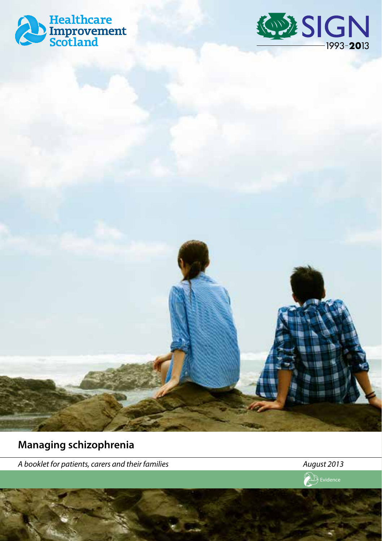





**Managing schizophrenia**

*A booklet for patients, carers and their families August 2013*

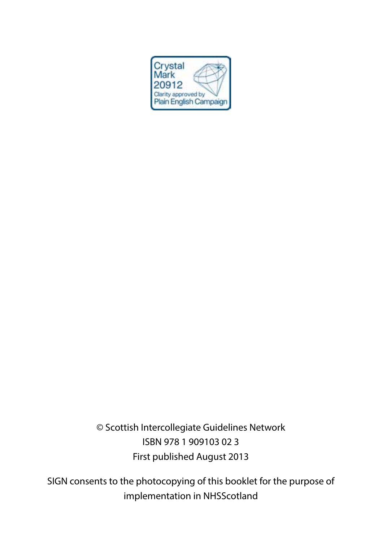

© Scottish Intercollegiate Guidelines Network ISBN 978 1 909103 02 3 First published August 2013

SIGN consents to the photocopying of this booklet for the purpose of implementation in NHSScotland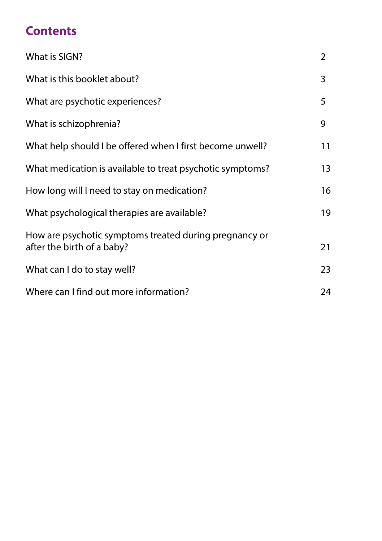### **Contents**

| What is SIGN?                                                                        | 2  |
|--------------------------------------------------------------------------------------|----|
| What is this booklet about?                                                          | 3  |
| What are psychotic experiences?                                                      | 5  |
| What is schizophrenia?                                                               | 9  |
| What help should I be offered when I first become unwell?                            | 11 |
| What medication is available to treat psychotic symptoms?                            | 13 |
| How long will I need to stay on medication?                                          | 16 |
| What psychological therapies are available?                                          | 19 |
| How are psychotic symptoms treated during pregnancy or<br>after the birth of a baby? | 21 |
| What can I do to stay well?                                                          | 23 |
| Where can I find out more information?                                               | 24 |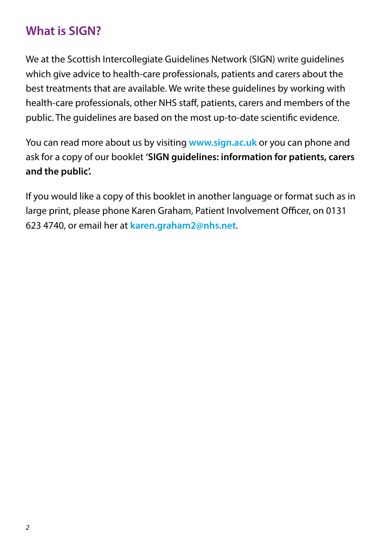### **What is SIGN?**

We at the Scottish Intercollegiate Guidelines Network (SIGN) write guidelines which give advice to health-care professionals, patients and carers about the best treatments that are available. We write these guidelines by working with health-care professionals, other NHS staff, patients, carers and members of the public. The guidelines are based on the most up-to-date scientific evidence.

You can read more about us by visiting **www.sign.ac.uk** or you can phone and ask for a copy of our booklet **'SIGN guidelines: information for patients, carers and the public'.**

If you would like a copy of this booklet in another language or format such as in large print, please phone Karen Graham, Patient Involvement Officer, on 0131 623 4740, or email her at **karen.graham2@nhs.net**.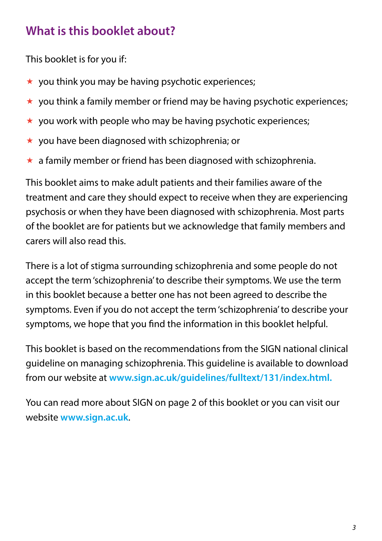### **What is this booklet about?**

This booklet is for you if:

- $\star$  you think you may be having psychotic experiences;
- $\star$  you think a family member or friend may be having psychotic experiences;
- $\star$  you work with people who may be having psychotic experiences;
- $\star$  vou have been diagnosed with schizophrenia; or
- $\star$  a family member or friend has been diagnosed with schizophrenia.

This booklet aims to make adult patients and their families aware of the treatment and care they should expect to receive when they are experiencing psychosis or when they have been diagnosed with schizophrenia. Most parts of the booklet are for patients but we acknowledge that family members and carers will also read this.

There is a lot of stigma surrounding schizophrenia and some people do not accept the term 'schizophrenia' to describe their symptoms. We use the term in this booklet because a better one has not been agreed to describe the symptoms. Even if you do not accept the term 'schizophrenia' to describe your symptoms, we hope that you find the information in this booklet helpful.

This booklet is based on the recommendations from the SIGN national clinical guideline on managing schizophrenia. This guideline is available to download from our website at **www.sign.ac.uk/guidelines/fulltext/131/index.html.**

You can read more about SIGN on page 2 of this booklet or you can visit our website **www.sign.ac.uk**.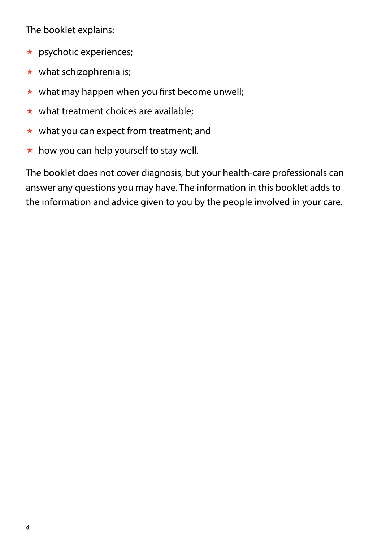The booklet explains:

- $\star$  psychotic experiences;
- $\star$  what schizophrenia is:
- $\star$  what may happen when you first become unwell:
- $\star$  what treatment choices are available:
- $\star$  what you can expect from treatment; and
- $\star$  how you can help yourself to stay well.

The booklet does not cover diagnosis, but your health-care professionals can answer any questions you may have. The information in this booklet adds to the information and advice given to you by the people involved in your care.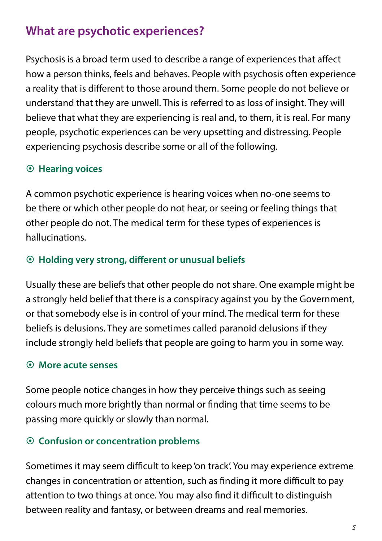### **What are psychotic experiences?**

Psychosis is a broad term used to describe a range of experiences that affect how a person thinks, feels and behaves. People with psychosis often experience a reality that is different to those around them. Some people do not believe or understand that they are unwell. This is referred to as loss of insight. They will believe that what they are experiencing is real and, to them, it is real. For many people, psychotic experiences can be very upsetting and distressing. People experiencing psychosis describe some or all of the following.

### ~ **Hearing voices**

A common psychotic experience is hearing voices when no-one seems to be there or which other people do not hear, or seeing or feeling things that other people do not. The medical term for these types of experiences is hallucinations.

### ~ **Holding very strong, different or unusual beliefs**

Usually these are beliefs that other people do not share. One example might be a strongly held belief that there is a conspiracy against you by the Government, or that somebody else is in control of your mind. The medical term for these beliefs is delusions. They are sometimes called paranoid delusions if they include strongly held beliefs that people are going to harm you in some way.

#### ~ **More acute senses**

Some people notice changes in how they perceive things such as seeing colours much more brightly than normal or finding that time seems to be passing more quickly or slowly than normal.

### ~ **Confusion or concentration problems**

Sometimes it may seem difficult to keep 'on track'. You may experience extreme changes in concentration or attention, such as finding it more difficult to pay attention to two things at once. You may also find it difficult to distinguish between reality and fantasy, or between dreams and real memories.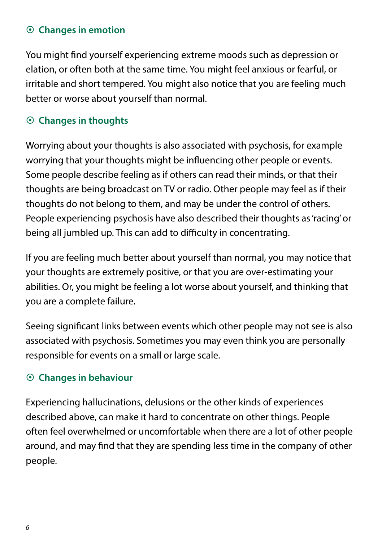#### ~ **Changes in emotion**

You might find yourself experiencing extreme moods such as depression or elation, or often both at the same time. You might feel anxious or fearful, or irritable and short tempered. You might also notice that you are feeling much better or worse about yourself than normal.

### ~ **Changes in thoughts**

Worrying about your thoughts is also associated with psychosis, for example worrying that your thoughts might be influencing other people or events. Some people describe feeling as if others can read their minds, or that their thoughts are being broadcast on TV or radio. Other people may feel as if their thoughts do not belong to them, and may be under the control of others. People experiencing psychosis have also described their thoughts as 'racing' or being all jumbled up. This can add to difficulty in concentrating.

If you are feeling much better about yourself than normal, you may notice that your thoughts are extremely positive, or that you are over-estimating your abilities. Or, you might be feeling a lot worse about yourself, and thinking that you are a complete failure.

Seeing significant links between events which other people may not see is also associated with psychosis. Sometimes you may even think you are personally responsible for events on a small or large scale.

### ~ **Changes in behaviour**

Experiencing hallucinations, delusions or the other kinds of experiences described above, can make it hard to concentrate on other things. People often feel overwhelmed or uncomfortable when there are a lot of other people around, and may find that they are spending less time in the company of other people.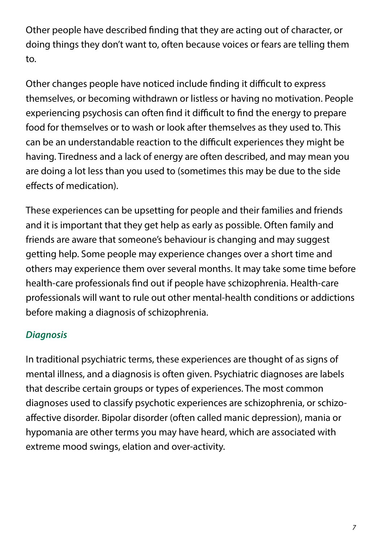Other people have described finding that they are acting out of character, or doing things they don't want to, often because voices or fears are telling them to.

Other changes people have noticed include finding it difficult to express themselves, or becoming withdrawn or listless or having no motivation. People experiencing psychosis can often find it difficult to find the energy to prepare food for themselves or to wash or look after themselves as they used to. This can be an understandable reaction to the difficult experiences they might be having. Tiredness and a lack of energy are often described, and may mean you are doing a lot less than you used to (sometimes this may be due to the side effects of medication).

These experiences can be upsetting for people and their families and friends and it is important that they get help as early as possible. Often family and friends are aware that someone's behaviour is changing and may suggest getting help. Some people may experience changes over a short time and others may experience them over several months. It may take some time before health-care professionals find out if people have schizophrenia. Health-care professionals will want to rule out other mental-health conditions or addictions before making a diagnosis of schizophrenia.

### *Diagnosis*

In traditional psychiatric terms, these experiences are thought of as signs of mental illness, and a diagnosis is often given. Psychiatric diagnoses are labels that describe certain groups or types of experiences. The most common diagnoses used to classify psychotic experiences are schizophrenia, or schizoaffective disorder. Bipolar disorder (often called manic depression), mania or hypomania are other terms you may have heard, which are associated with extreme mood swings, elation and over-activity.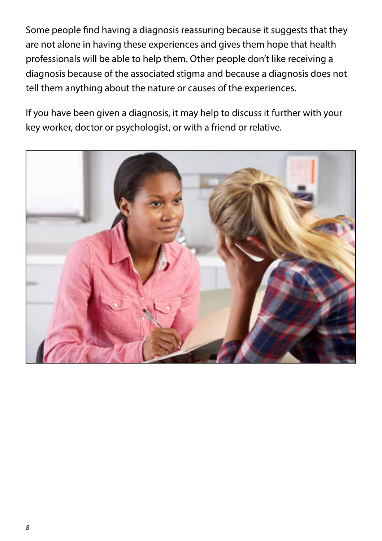Some people find having a diagnosis reassuring because it suggests that they are not alone in having these experiences and gives them hope that health professionals will be able to help them. Other people don't like receiving a diagnosis because of the associated stigma and because a diagnosis does not tell them anything about the nature or causes of the experiences.

If you have been given a diagnosis, it may help to discuss it further with your key worker, doctor or psychologist, or with a friend or relative.

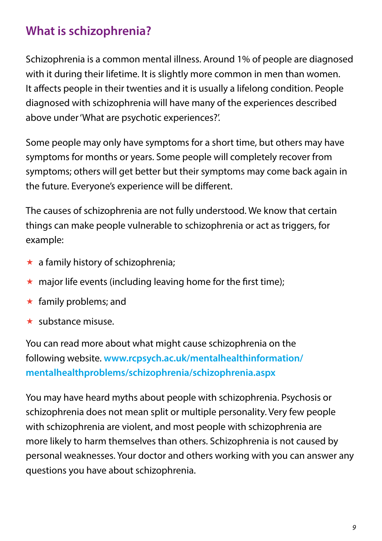### **What is schizophrenia?**

Schizophrenia is a common mental illness. Around 1% of people are diagnosed with it during their lifetime. It is slightly more common in men than women. It affects people in their twenties and it is usually a lifelong condition. People diagnosed with schizophrenia will have many of the experiences described above under 'What are psychotic experiences?'.

Some people may only have symptoms for a short time, but others may have symptoms for months or years. Some people will completely recover from symptoms; others will get better but their symptoms may come back again in the future. Everyone's experience will be different.

The causes of schizophrenia are not fully understood. We know that certain things can make people vulnerable to schizophrenia or act as triggers, for example:

- $\star$  a family history of schizophrenia;
- $\star$  major life events (including leaving home for the first time);
- $\star$  family problems; and
- $\star$  substance misuse.

You can read more about what might cause schizophrenia on the following website. **www.rcpsych.ac.uk/mentalhealthinformation/ mentalhealthproblems/schizophrenia/schizophrenia.aspx**

You may have heard myths about people with schizophrenia. Psychosis or schizophrenia does not mean split or multiple personality. Very few people with schizophrenia are violent, and most people with schizophrenia are more likely to harm themselves than others. Schizophrenia is not caused by personal weaknesses. Your doctor and others working with you can answer any questions you have about schizophrenia.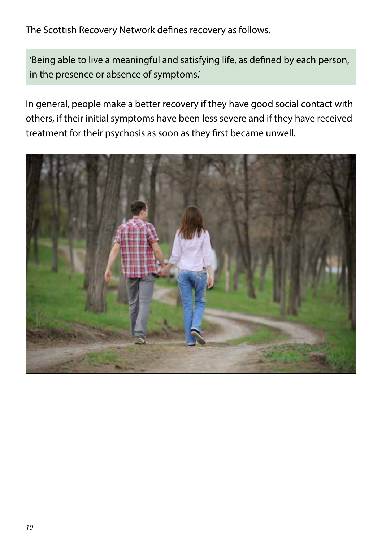The Scottish Recovery Network defines recovery as follows.

'Being able to live a meaningful and satisfying life, as defined by each person, in the presence or absence of symptoms.'

In general, people make a better recovery if they have good social contact with others, if their initial symptoms have been less severe and if they have received treatment for their psychosis as soon as they first became unwell.

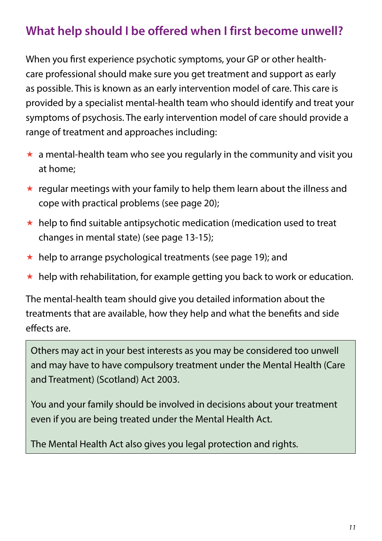## **What help should I be offered when I first become unwell?**

When you first experience psychotic symptoms, your GP or other healthcare professional should make sure you get treatment and support as early as possible. This is known as an early intervention model of care. This care is provided by a specialist mental-health team who should identify and treat your symptoms of psychosis. The early intervention model of care should provide a range of treatment and approaches including:

- $\star$  a mental-health team who see you regularly in the community and visit you at home;
- $\star$  regular meetings with your family to help them learn about the illness and cope with practical problems (see page 20);
- $\star$  help to find suitable antipsychotic medication (medication used to treat changes in mental state) (see page 13-15);
- $\star$  help to arrange psychological treatments (see page 19); and
- $\star$  help with rehabilitation, for example getting you back to work or education.

The mental-health team should give you detailed information about the treatments that are available, how they help and what the benefits and side effects are.

Others may act in your best interests as you may be considered too unwell and may have to have compulsory treatment under the Mental Health (Care and Treatment) (Scotland) Act 2003.

You and your family should be involved in decisions about your treatment even if you are being treated under the Mental Health Act.

The Mental Health Act also gives you legal protection and rights.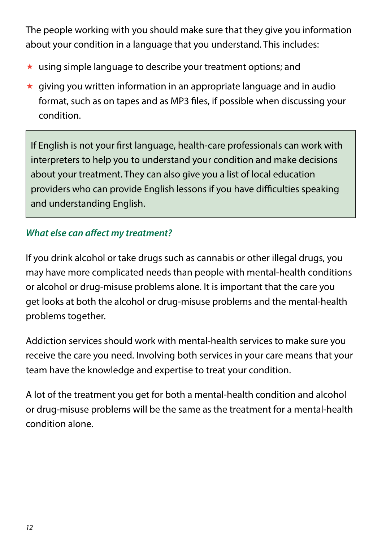The people working with you should make sure that they give you information about your condition in a language that you understand. This includes:

- $\star$  using simple language to describe your treatment options; and
- $\star$  giving you written information in an appropriate language and in audio format, such as on tapes and as MP3 files, if possible when discussing your condition.

If English is not your first language, health-care professionals can work with interpreters to help you to understand your condition and make decisions about your treatment. They can also give you a list of local education providers who can provide English lessons if you have difficulties speaking and understanding English.

### *What else can affect my treatment?*

If you drink alcohol or take drugs such as cannabis or other illegal drugs, you may have more complicated needs than people with mental-health conditions or alcohol or drug-misuse problems alone. It is important that the care you get looks at both the alcohol or drug-misuse problems and the mental-health problems together.

Addiction services should work with mental-health services to make sure you receive the care you need. Involving both services in your care means that your team have the knowledge and expertise to treat your condition.

A lot of the treatment you get for both a mental-health condition and alcohol or drug-misuse problems will be the same as the treatment for a mental-health condition alone.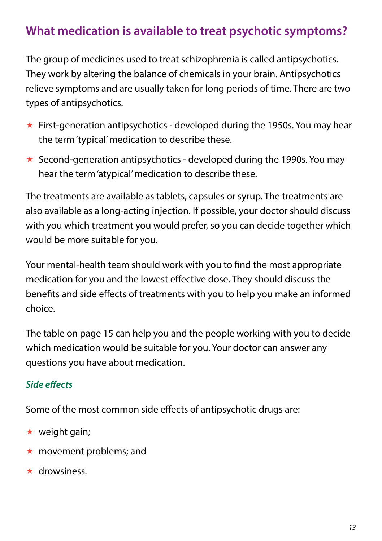### **What medication is available to treat psychotic symptoms?**

The group of medicines used to treat schizophrenia is called antipsychotics. They work by altering the balance of chemicals in your brain. Antipsychotics relieve symptoms and are usually taken for long periods of time. There are two types of antipsychotics.

- $\star$  First-generation antipsychotics developed during the 1950s. You may hear the term 'typical' medication to describe these.
- $\star$  Second-generation antipsychotics developed during the 1990s. You may hear the term 'atypical' medication to describe these.

The treatments are available as tablets, capsules or syrup. The treatments are also available as a long-acting injection. If possible, your doctor should discuss with you which treatment you would prefer, so you can decide together which would be more suitable for you.

Your mental-health team should work with you to find the most appropriate medication for you and the lowest effective dose. They should discuss the benefits and side effects of treatments with you to help you make an informed choice.

The table on page 15 can help you and the people working with you to decide which medication would be suitable for you. Your doctor can answer any questions you have about medication.

### *Side effects*

Some of the most common side effects of antipsychotic drugs are:

- $\star$  weight gain;
- $\star$  movement problems; and
- \* drowsiness.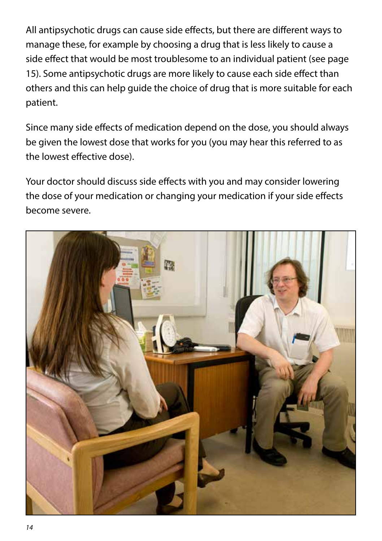All antipsychotic drugs can cause side effects, but there are different ways to manage these, for example by choosing a drug that is less likely to cause a side effect that would be most troublesome to an individual patient (see page 15). Some antipsychotic drugs are more likely to cause each side effect than others and this can help guide the choice of drug that is more suitable for each patient.

Since many side effects of medication depend on the dose, you should always be given the lowest dose that works for you (you may hear this referred to as the lowest effective dose).

Your doctor should discuss side effects with you and may consider lowering the dose of your medication or changing your medication if your side effects become severe.

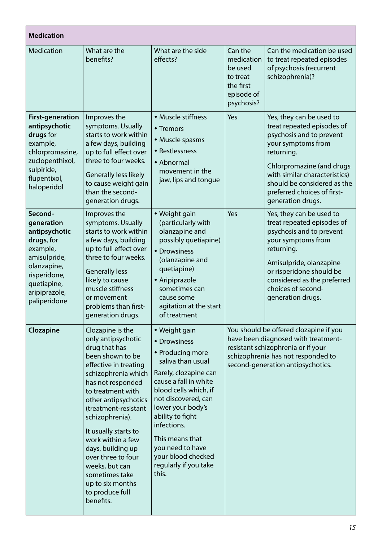| <b>Medication</b>                                                                                                                                               |                                                                                                                                                                                                                                                                                                                                                                                                                          |                                                                                                                                                                                                                                                                                                                                 |                                                                                       |                                                                                                                                                                                                                                                                         |  |  |
|-----------------------------------------------------------------------------------------------------------------------------------------------------------------|--------------------------------------------------------------------------------------------------------------------------------------------------------------------------------------------------------------------------------------------------------------------------------------------------------------------------------------------------------------------------------------------------------------------------|---------------------------------------------------------------------------------------------------------------------------------------------------------------------------------------------------------------------------------------------------------------------------------------------------------------------------------|---------------------------------------------------------------------------------------|-------------------------------------------------------------------------------------------------------------------------------------------------------------------------------------------------------------------------------------------------------------------------|--|--|
| <b>Medication</b>                                                                                                                                               | What are the<br>benefits?                                                                                                                                                                                                                                                                                                                                                                                                | What are the side<br>effects?                                                                                                                                                                                                                                                                                                   | Can the<br>medication<br>be used<br>to treat<br>the first<br>episode of<br>psychosis? | Can the medication be used<br>to treat repeated episodes<br>of psychosis (recurrent<br>schizophrenia)?                                                                                                                                                                  |  |  |
| <b>First-generation</b><br>antipsychotic<br>drugs for<br>example,<br>chlorpromazine,<br>zuclopenthixol,<br>sulpiride,<br>flupentixol,<br>haloperidol            | Improves the<br>symptoms. Usually<br>starts to work within<br>a few days, building<br>up to full effect over<br>three to four weeks.<br>Generally less likely<br>to cause weight gain<br>than the second-<br>generation drugs.                                                                                                                                                                                           | · Muscle stiffness<br>• Tremors<br>· Muscle spasms<br>• Restlessness<br>• Abnormal<br>movement in the<br>jaw, lips and tongue                                                                                                                                                                                                   | Yes                                                                                   | Yes, they can be used to<br>treat repeated episodes of<br>psychosis and to prevent<br>your symptoms from<br>returning.<br>Chlorpromazine (and drugs<br>with similar characteristics)<br>should be considered as the<br>preferred choices of first-<br>generation drugs. |  |  |
| Second-<br>generation<br>antipsychotic<br>drugs, for<br>example,<br>amisulpride,<br>olanzapine,<br>risperidone,<br>quetiapine,<br>aripiprazole,<br>paliperidone | Improves the<br>symptoms. Usually<br>starts to work within<br>a few days, building<br>up to full effect over<br>three to four weeks.<br><b>Generally less</b><br>likely to cause<br>muscle stiffness<br>or movement<br>problems than first-<br>generation drugs.                                                                                                                                                         | • Weight gain<br>(particularly with<br>olanzapine and<br>possibly quetiapine)<br>• Drowsiness<br>(olanzapine and<br>quetiapine)<br>• Aripiprazole<br>sometimes can<br>cause some<br>agitation at the start<br>of treatment                                                                                                      | Yes                                                                                   | Yes, they can be used to<br>treat repeated episodes of<br>psychosis and to prevent<br>your symptoms from<br>returning.<br>Amisulpride, olanzapine<br>or risperidone should be<br>considered as the preferred<br>choices of second-<br>generation drugs.                 |  |  |
| Clozapine                                                                                                                                                       | Clozapine is the<br>only antipsychotic<br>drug that has<br>been shown to be<br>effective in treating<br>schizophrenia which<br>has not responded<br>to treatment with<br>other antipsychotics<br>(treatment-resistant<br>schizophrenia).<br>It usually starts to<br>work within a few<br>days, building up<br>over three to four<br>weeks, but can<br>sometimes take<br>up to six months<br>to produce full<br>benefits. | • Weight gain<br>• Drowsiness<br>• Producing more<br>saliva than usual<br>Rarely, clozapine can<br>cause a fall in white<br>blood cells which. if<br>not discovered, can<br>lower your body's<br>ability to fight<br>infections.<br>This means that<br>you need to have<br>your blood checked<br>regularly if you take<br>this. |                                                                                       | You should be offered clozapine if you<br>have been diagnosed with treatment-<br>resistant schizophrenia or if your<br>schizophrenia has not responded to<br>second-generation antipsychotics.                                                                          |  |  |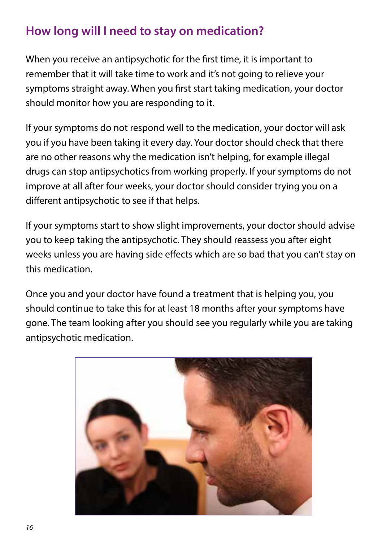## **How long will I need to stay on medication?**

When you receive an antipsychotic for the first time, it is important to remember that it will take time to work and it's not going to relieve your symptoms straight away. When you first start taking medication, your doctor should monitor how you are responding to it.

If your symptoms do not respond well to the medication, your doctor will ask you if you have been taking it every day. Your doctor should check that there are no other reasons why the medication isn't helping, for example illegal drugs can stop antipsychotics from working properly. If your symptoms do not improve at all after four weeks, your doctor should consider trying you on a different antipsychotic to see if that helps.

If your symptoms start to show slight improvements, your doctor should advise you to keep taking the antipsychotic. They should reassess you after eight weeks unless you are having side effects which are so bad that you can't stay on this medication.

Once you and your doctor have found a treatment that is helping you, you should continue to take this for at least 18 months after your symptoms have gone. The team looking after you should see you regularly while you are taking antipsychotic medication.

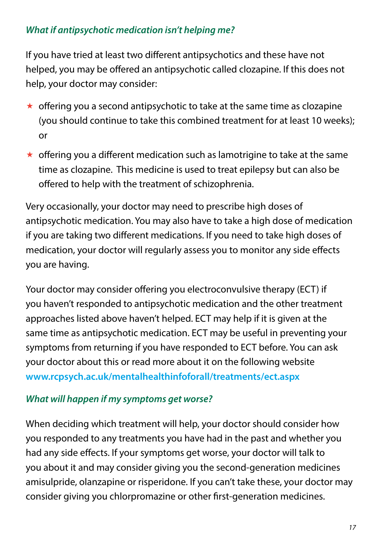### *What if antipsychotic medication isn't helping me?*

If you have tried at least two different antipsychotics and these have not helped, you may be offered an antipsychotic called clozapine. If this does not help, your doctor may consider:

- $\star$  offering you a second antipsychotic to take at the same time as clozapine (you should continue to take this combined treatment for at least 10 weeks); or
- $\star$  offering you a different medication such as lamotrigine to take at the same time as clozapine. This medicine is used to treat epilepsy but can also be offered to help with the treatment of schizophrenia.

Very occasionally, your doctor may need to prescribe high doses of antipsychotic medication. You may also have to take a high dose of medication if you are taking two different medications. If you need to take high doses of medication, your doctor will regularly assess you to monitor any side effects you are having.

Your doctor may consider offering you electroconvulsive therapy (ECT) if you haven't responded to antipsychotic medication and the other treatment approaches listed above haven't helped. ECT may help if it is given at the same time as antipsychotic medication. ECT may be useful in preventing your symptoms from returning if you have responded to ECT before. You can ask your doctor about this or read more about it on the following website **www.rcpsych.ac.uk/mentalhealthinfoforall/treatments/ect.aspx**

### *What will happen if my symptoms get worse?*

When deciding which treatment will help, your doctor should consider how you responded to any treatments you have had in the past and whether you had any side effects. If your symptoms get worse, your doctor will talk to you about it and may consider giving you the second-generation medicines amisulpride, olanzapine or risperidone. If you can't take these, your doctor may consider giving you chlorpromazine or other first-generation medicines.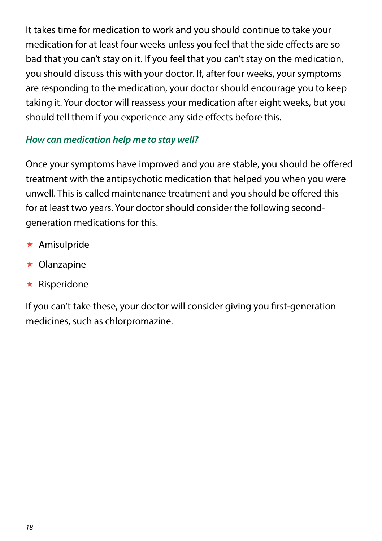It takes time for medication to work and you should continue to take your medication for at least four weeks unless you feel that the side effects are so bad that you can't stay on it. If you feel that you can't stay on the medication, you should discuss this with your doctor. If, after four weeks, your symptoms are responding to the medication, your doctor should encourage you to keep taking it. Your doctor will reassess your medication after eight weeks, but you should tell them if you experience any side effects before this.

#### *How can medication help me to stay well?*

Once your symptoms have improved and you are stable, you should be offered treatment with the antipsychotic medication that helped you when you were unwell. This is called maintenance treatment and you should be offered this for at least two years. Your doctor should consider the following secondgeneration medications for this.

- $\star$  Amisulpride
- $\star$  Olanzapine
- $\star$  Risperidone

If you can't take these, your doctor will consider giving you first-generation medicines, such as chlorpromazine.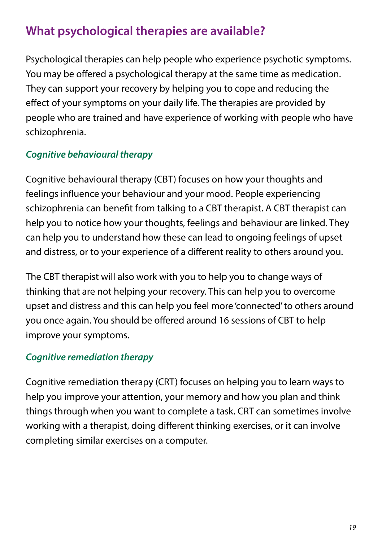## **What psychological therapies are available?**

Psychological therapies can help people who experience psychotic symptoms. You may be offered a psychological therapy at the same time as medication. They can support your recovery by helping you to cope and reducing the effect of your symptoms on your daily life. The therapies are provided by people who are trained and have experience of working with people who have schizophrenia.

### *Cognitive behavioural therapy*

Cognitive behavioural therapy (CBT) focuses on how your thoughts and feelings influence your behaviour and your mood. People experiencing schizophrenia can benefit from talking to a CBT therapist. A CBT therapist can help you to notice how your thoughts, feelings and behaviour are linked. They can help you to understand how these can lead to ongoing feelings of upset and distress, or to your experience of a different reality to others around you.

The CBT therapist will also work with you to help you to change ways of thinking that are not helping your recovery. This can help you to overcome upset and distress and this can help you feel more 'connected' to others around you once again. You should be offered around 16 sessions of CBT to help improve your symptoms.

### *Cognitive remediation therapy*

Cognitive remediation therapy (CRT) focuses on helping you to learn ways to help you improve your attention, your memory and how you plan and think things through when you want to complete a task. CRT can sometimes involve working with a therapist, doing different thinking exercises, or it can involve completing similar exercises on a computer.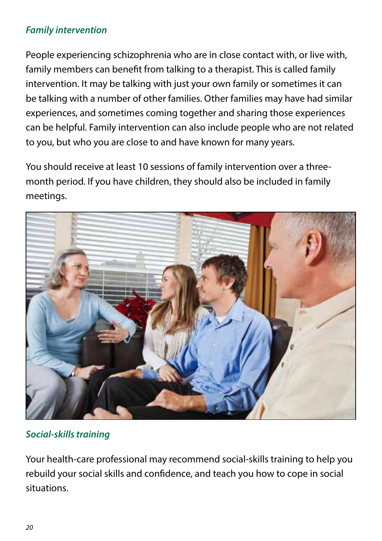### *Family intervention*

People experiencing schizophrenia who are in close contact with, or live with, family members can benefit from talking to a therapist. This is called family intervention. It may be talking with just your own family or sometimes it can be talking with a number of other families. Other families may have had similar experiences, and sometimes coming together and sharing those experiences can be helpful. Family intervention can also include people who are not related to you, but who you are close to and have known for many years.

You should receive at least 10 sessions of family intervention over a threemonth period. If you have children, they should also be included in family meetings.



### *Social-skills training*

Your health-care professional may recommend social-skills training to help you rebuild your social skills and confidence, and teach you how to cope in social situations.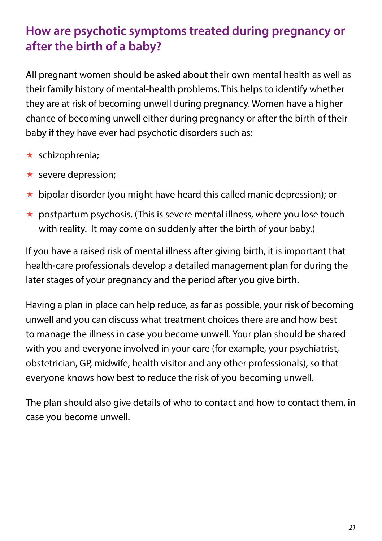### **How are psychotic symptoms treated during pregnancy or after the birth of a baby?**

All pregnant women should be asked about their own mental health as well as their family history of mental-health problems. This helps to identify whether they are at risk of becoming unwell during pregnancy. Women have a higher chance of becoming unwell either during pregnancy or after the birth of their baby if they have ever had psychotic disorders such as:

- $\star$  schizophrenia;
- $\star$  severe depression:
- $\star$  bipolar disorder (you might have heard this called manic depression); or
- $\star$  postpartum psychosis. (This is severe mental illness, where you lose touch with reality. It may come on suddenly after the birth of your baby.)

If you have a raised risk of mental illness after giving birth, it is important that health-care professionals develop a detailed management plan for during the later stages of your pregnancy and the period after you give birth.

Having a plan in place can help reduce, as far as possible, your risk of becoming unwell and you can discuss what treatment choices there are and how best to manage the illness in case you become unwell. Your plan should be shared with you and everyone involved in your care (for example, your psychiatrist, obstetrician, GP, midwife, health visitor and any other professionals), so that everyone knows how best to reduce the risk of you becoming unwell.

The plan should also give details of who to contact and how to contact them, in case you become unwell.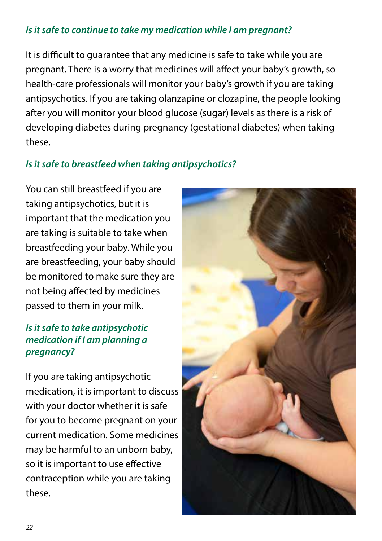#### *Is it safe to continue to take my medication while I am pregnant?*

It is difficult to guarantee that any medicine is safe to take while you are pregnant. There is a worry that medicines will affect your baby's growth, so health-care professionals will monitor your baby's growth if you are taking antipsychotics. If you are taking olanzapine or clozapine, the people looking after you will monitor your blood glucose (sugar) levels as there is a risk of developing diabetes during pregnancy (gestational diabetes) when taking these.

### *Is it safe to breastfeed when taking antipsychotics?*

You can still breastfeed if you are taking antipsychotics, but it is important that the medication you are taking is suitable to take when breastfeeding your baby. While you are breastfeeding, your baby should be monitored to make sure they are not being affected by medicines passed to them in your milk.

### *Is it safe to take antipsychotic medication if I am planning a pregnancy?*

If you are taking antipsychotic medication, it is important to discuss with your doctor whether it is safe for you to become pregnant on your current medication. Some medicines may be harmful to an unborn baby, so it is important to use effective contraception while you are taking these.

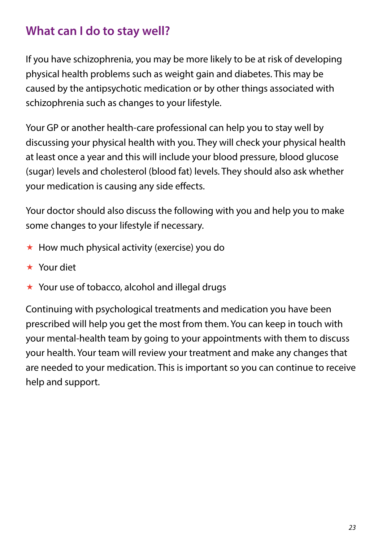### **What can I do to stay well?**

If you have schizophrenia, you may be more likely to be at risk of developing physical health problems such as weight gain and diabetes. This may be caused by the antipsychotic medication or by other things associated with schizophrenia such as changes to your lifestyle.

Your GP or another health-care professional can help you to stay well by discussing your physical health with you. They will check your physical health at least once a year and this will include your blood pressure, blood glucose (sugar) levels and cholesterol (blood fat) levels. They should also ask whether your medication is causing any side effects.

Your doctor should also discuss the following with you and help you to make some changes to your lifestyle if necessary.

- $\star$  How much physical activity (exercise) you do
- Your diet
- ★ Your use of tobacco, alcohol and illegal drugs

Continuing with psychological treatments and medication you have been prescribed will help you get the most from them. You can keep in touch with your mental-health team by going to your appointments with them to discuss your health. Your team will review your treatment and make any changes that are needed to your medication. This is important so you can continue to receive help and support.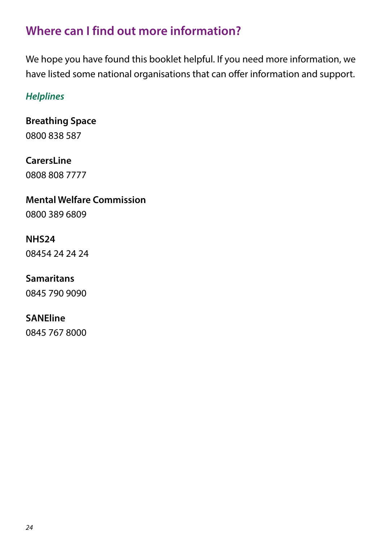### **Where can I find out more information?**

We hope you have found this booklet helpful. If you need more information, we have listed some national organisations that can offer information and support.

### *Helplines*

**Breathing Space**  0800 838 587

# **CarersLine**

0808 808 7777

### **Mental Welfare Commission**

0800 389 6809

### **NHS24**

08454 24 24 24

### **Samaritans**

0845 790 9090

### **SANEline**

0845 767 8000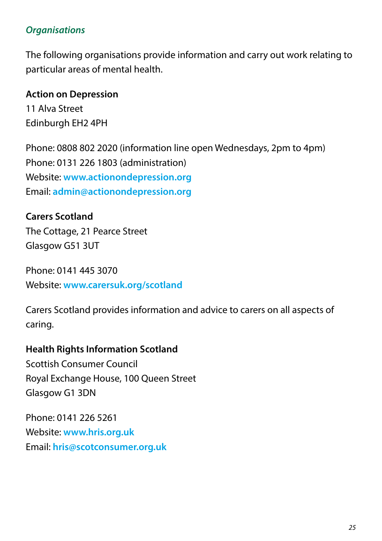#### *Organisations*

The following organisations provide information and carry out work relating to particular areas of mental health.

**Action on Depression** 11 Alva Street Edinburgh EH2 4PH

Phone: 0808 802 2020 (information line open Wednesdays, 2pm to 4pm) Phone: 0131 226 1803 (administration) Website: **www.actionondepression.org** Email: **admin@actionondepression.org**

**Carers Scotland** The Cottage, 21 Pearce Street Glasgow G51 3UT

Phone: 0141 445 3070 Website: **www.carersuk.org/scotland**

Carers Scotland provides information and advice to carers on all aspects of caring.

#### **Health Rights Information Scotland**

Scottish Consumer Council Royal Exchange House, 100 Queen Street Glasgow G1 3DN

Phone: 0141 226 5261 Website: **www.hris.org.uk** Email: **hris@scotconsumer.org.uk**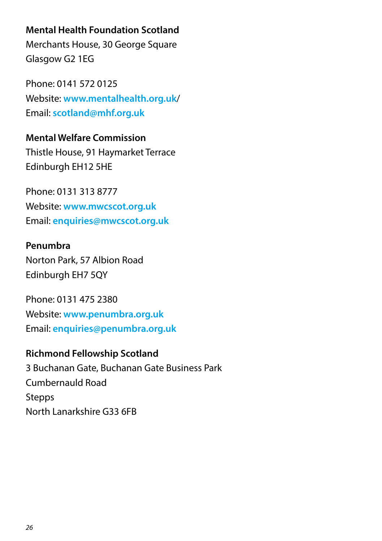#### **Mental Health Foundation Scotland**

Merchants House, 30 George Square Glasgow G2 1EG

Phone: 0141 572 0125 Website: **www.mentalhealth.org.uk**/ Email: **scotland@mhf.org.uk**

**Mental Welfare Commission** Thistle House, 91 Haymarket Terrace Edinburgh EH12 5HE

Phone: 0131 313 8777 Website: **www.mwcscot.org.uk** Email: **enquiries@mwcscot.org.uk**

#### **Penumbra**

Norton Park, 57 Albion Road Edinburgh EH7 5QY

Phone: 0131 475 2380 Website: **www.penumbra.org.uk** Email: **enquiries@penumbra.org.uk**

#### **Richmond Fellowship Scotland**

3 Buchanan Gate, Buchanan Gate Business Park Cumbernauld Road **Stepps** North Lanarkshire G33 6FB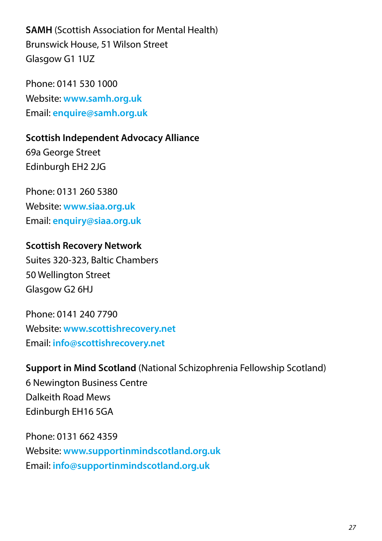**SAMH** (Scottish Association for Mental Health) Brunswick House, 51 Wilson Street Glasgow G1 1UZ

Phone: 0141 530 1000 Website: **www.samh.org.uk** Email: **enquire@samh.org.uk**

**Scottish Independent Advocacy Alliance** 69a George Street Edinburgh EH2 2JG

Phone: 0131 260 5380 Website: **www.siaa.org.uk** Email: **enquiry@siaa.org.uk**

**Scottish Recovery Network** Suites 320-323, Baltic Chambers 50 Wellington Street Glasgow G2 6HJ

Phone: 0141 240 7790 Website: **www.scottishrecovery.net** Email: **info@scottishrecovery.net**

**Support in Mind Scotland** (National Schizophrenia Fellowship Scotland) 6 Newington Business Centre Dalkeith Road Mews Edinburgh EH16 5GA

Phone: 0131 662 4359 Website: **www.supportinmindscotland.org.uk** Email: **info@supportinmindscotland.org.uk**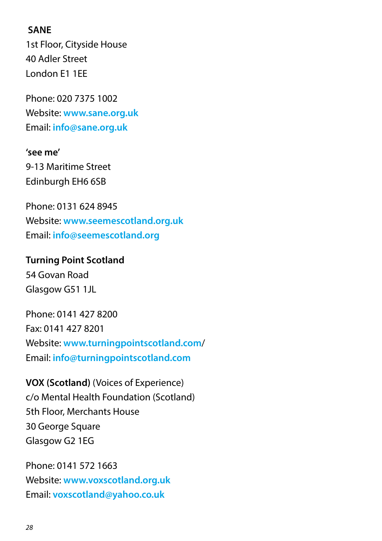#### **SANE**

1st Floor, Cityside House 40 Adler Street London E1 1EE

Phone: 020 7375 1002 Website: **www.sane.org.uk** Email: **info@sane.org.uk**

### **'see me'**

9-13 Maritime Street Edinburgh EH6 6SB

Phone: 0131 624 8945 Website: **www.seemescotland.org.uk** Email: **info@seemescotland.org**

#### **Turning Point Scotland**

54 Govan Road Glasgow G51 1JL

Phone: 0141 427 8200 Fax: 0141 427 8201 Website: **www.turningpointscotland.com**/ Email: **info@turningpointscotland.com**

**VOX (Scotland)** (Voices of Experience) c/o Mental Health Foundation (Scotland) 5th Floor, Merchants House 30 George Square Glasgow G2 1EG

Phone: 0141 572 1663 Website: **www.voxscotland.org.uk** Email: **voxscotland@yahoo.co.uk**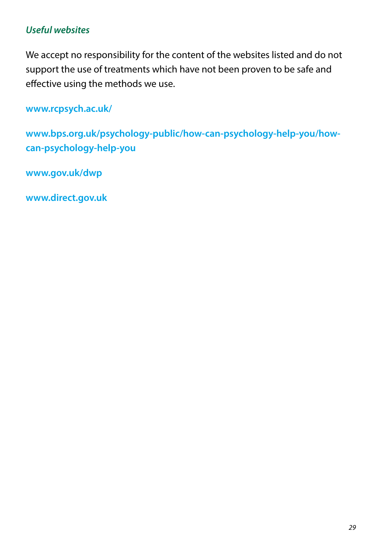#### *Useful websites*

We accept no responsibility for the content of the websites listed and do not support the use of treatments which have not been proven to be safe and effective using the methods we use.

**www.rcpsych.ac.uk/**

**www.bps.org.uk/psychology-public/how-can-psychology-help-you/howcan-psychology-help-you**

**www.gov.uk/dwp**

**www.direct.gov.uk**